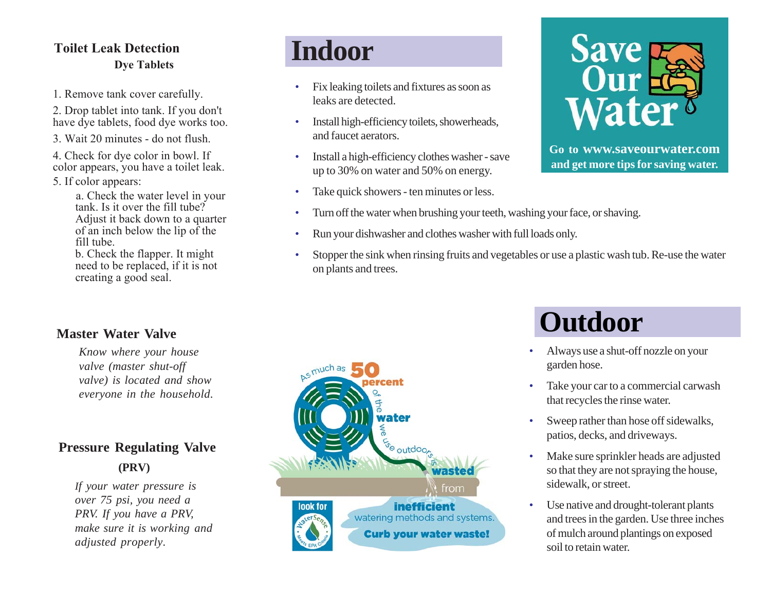## **Toilet Leak Detection Dye Tablets**

1. Remove tank cover carefully.

2. Drop tablet into tank. If you don't have dye tablets, food dye works too.

3. Wait 20 minutes - do not flush.

- 4. Check for dye color in bowl. If color appears, you have a toilet leak.
- 5. If color appears:

a. Check the water level in your tank. Is it over the fill tube? Adjust it back down to a quarter of an inch below the lip of the fill tube.

b. Check the flapper. It might need to be replaced, if it is not creating a good seal.

# **Indoor**

- Fix leaking toilets and fixtures as soon as leaks are detected.
- Install high-efficiency toilets, showerheads, and faucet aerators.
- Install a high-efficiency clothes washer save up to 30% on water and 50% on energy.
- Take quick showers ten minutes or less.
- Turn off the water when brushing your teeth, washing your face, or shaving.
- Run your dishwasher and clothes washer with full loads only.
- Stopper the sink when rinsing fruits and vegetables or use a plastic wash tub. Re-use the water on plants and trees.



**Go to www.saveourwater.com and get more tips for saving water.**

### **Master Water Valve**

*Know where your house valve (master shut-off valve) is located and show everyone in the household.*

# **Pressure Regulating Valve (PRV)**

*If your water pressure is over 75 psi, you need a PRV. If you have a PRV, make sure it is working and adjusted properly.*



# **Outdoor**

- Always use a shut-off nozzle on your garden hose.
- Take your car to a commercial carwash that recycles the rinse water.
- Sweep rather than hose off sidewalks, patios, decks, and driveways.
- Make sure sprinkler heads are adjusted so that they are not spraying the house, sidewalk, or street.
- Use native and drought-tolerant plants and trees in the garden. Use three inches of mulch around plantings on exposed soil to retain water.